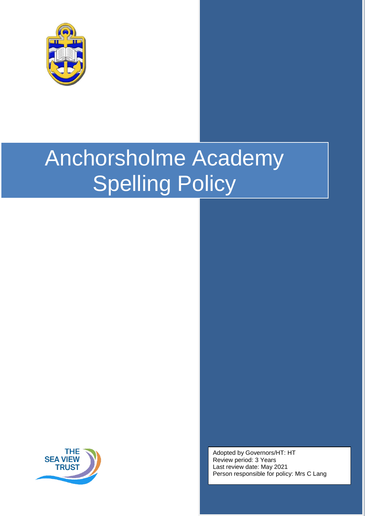

# Anchorsholme Academy Spelling Policy



Adopted by Governors/HT: HT Review period: 3 Years Last review date: May 2021 Person responsible for policy: Mrs C Lang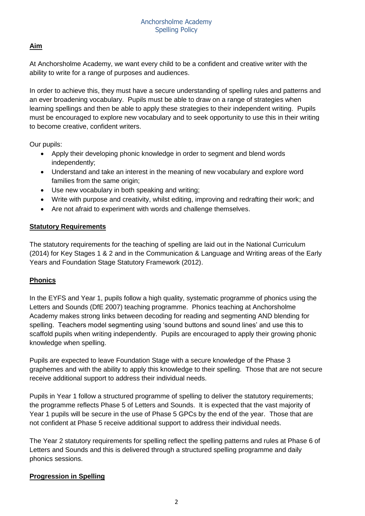# **Aim**

At Anchorsholme Academy, we want every child to be a confident and creative writer with the ability to write for a range of purposes and audiences.

In order to achieve this, they must have a secure understanding of spelling rules and patterns and an ever broadening vocabulary. Pupils must be able to draw on a range of strategies when learning spellings and then be able to apply these strategies to their independent writing. Pupils must be encouraged to explore new vocabulary and to seek opportunity to use this in their writing to become creative, confident writers.

Our pupils:

- Apply their developing phonic knowledge in order to segment and blend words independently;
- Understand and take an interest in the meaning of new vocabulary and explore word families from the same origin;
- Use new vocabulary in both speaking and writing;
- Write with purpose and creativity, whilst editing, improving and redrafting their work; and
- Are not afraid to experiment with words and challenge themselves.

# **Statutory Requirements**

The statutory requirements for the teaching of spelling are laid out in the National Curriculum (2014) for Key Stages 1 & 2 and in the Communication & Language and Writing areas of the Early Years and Foundation Stage Statutory Framework (2012).

# **Phonics**

In the EYFS and Year 1, pupils follow a high quality, systematic programme of phonics using the Letters and Sounds (DfE 2007) teaching programme. Phonics teaching at Anchorsholme Academy makes strong links between decoding for reading and segmenting AND blending for spelling. Teachers model segmenting using 'sound buttons and sound lines' and use this to scaffold pupils when writing independently. Pupils are encouraged to apply their growing phonic knowledge when spelling.

Pupils are expected to leave Foundation Stage with a secure knowledge of the Phase 3 graphemes and with the ability to apply this knowledge to their spelling. Those that are not secure receive additional support to address their individual needs.

Pupils in Year 1 follow a structured programme of spelling to deliver the statutory requirements; the programme reflects Phase 5 of Letters and Sounds. It is expected that the vast majority of Year 1 pupils will be secure in the use of Phase 5 GPCs by the end of the year. Those that are not confident at Phase 5 receive additional support to address their individual needs.

The Year 2 statutory requirements for spelling reflect the spelling patterns and rules at Phase 6 of Letters and Sounds and this is delivered through a structured spelling programme and daily phonics sessions.

# **Progression in Spelling**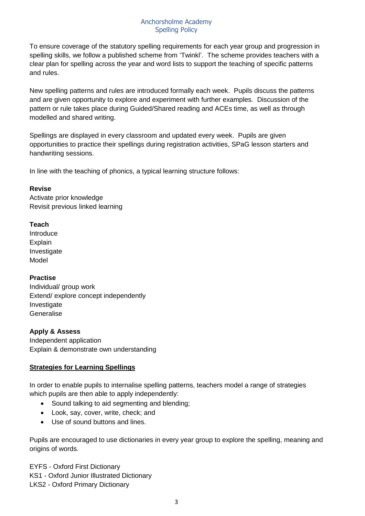To ensure coverage of the statutory spelling requirements for each year group and progression in spelling skills, we follow a published scheme from 'Twinkl'. The scheme provides teachers with a clear plan for spelling across the year and word lists to support the teaching of specific patterns and rules.

New spelling patterns and rules are introduced formally each week. Pupils discuss the patterns and are given opportunity to explore and experiment with further examples. Discussion of the pattern or rule takes place during Guided/Shared reading and ACEs time, as well as through modelled and shared writing.

Spellings are displayed in every classroom and updated every week. Pupils are given opportunities to practice their spellings during registration activities, SPaG lesson starters and handwriting sessions.

In line with the teaching of phonics, a typical learning structure follows:

#### **Revise**

Activate prior knowledge Revisit previous linked learning

# **Teach**

Introduce **Explain** Investigate Model

# **Practise**

Individual/ group work Extend/ explore concept independently Investigate Generalise

# **Apply & Assess**

Independent application Explain & demonstrate own understanding

# **Strategies for Learning Spellings**

In order to enable pupils to internalise spelling patterns, teachers model a range of strategies which pupils are then able to apply independently:

- Sound talking to aid segmenting and blending;
- Look, say, cover, write, check; and
- Use of sound buttons and lines.

Pupils are encouraged to use dictionaries in every year group to explore the spelling, meaning and origins of words.

EYFS - Oxford First Dictionary KS1 - Oxford Junior Illustrated Dictionary LKS2 - Oxford Primary Dictionary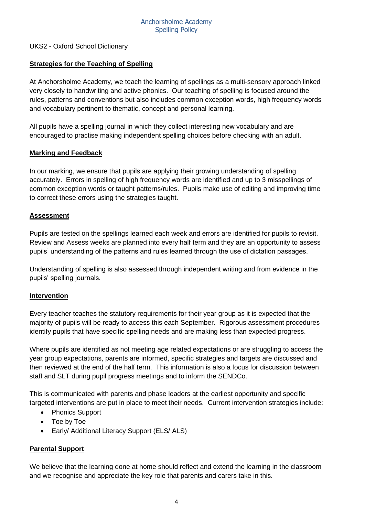#### UKS2 - Oxford School Dictionary

#### **Strategies for the Teaching of Spelling**

At Anchorsholme Academy, we teach the learning of spellings as a multi-sensory approach linked very closely to handwriting and active phonics. Our teaching of spelling is focused around the rules, patterns and conventions but also includes common exception words, high frequency words and vocabulary pertinent to thematic, concept and personal learning.

All pupils have a spelling journal in which they collect interesting new vocabulary and are encouraged to practise making independent spelling choices before checking with an adult.

#### **Marking and Feedback**

In our marking, we ensure that pupils are applying their growing understanding of spelling accurately. Errors in spelling of high frequency words are identified and up to 3 misspellings of common exception words or taught patterns/rules. Pupils make use of editing and improving time to correct these errors using the strategies taught.

#### **Assessment**

Pupils are tested on the spellings learned each week and errors are identified for pupils to revisit. Review and Assess weeks are planned into every half term and they are an opportunity to assess pupils' understanding of the patterns and rules learned through the use of dictation passages.

Understanding of spelling is also assessed through independent writing and from evidence in the pupils' spelling journals.

#### **Intervention**

Every teacher teaches the statutory requirements for their year group as it is expected that the majority of pupils will be ready to access this each September. Rigorous assessment procedures identify pupils that have specific spelling needs and are making less than expected progress.

Where pupils are identified as not meeting age related expectations or are struggling to access the year group expectations, parents are informed, specific strategies and targets are discussed and then reviewed at the end of the half term. This information is also a focus for discussion between staff and SLT during pupil progress meetings and to inform the SENDCo.

This is communicated with parents and phase leaders at the earliest opportunity and specific targeted interventions are put in place to meet their needs. Current intervention strategies include:

- Phonics Support
- Toe by Toe
- Early/ Additional Literacy Support (ELS/ ALS)

# **Parental Support**

We believe that the learning done at home should reflect and extend the learning in the classroom and we recognise and appreciate the key role that parents and carers take in this.